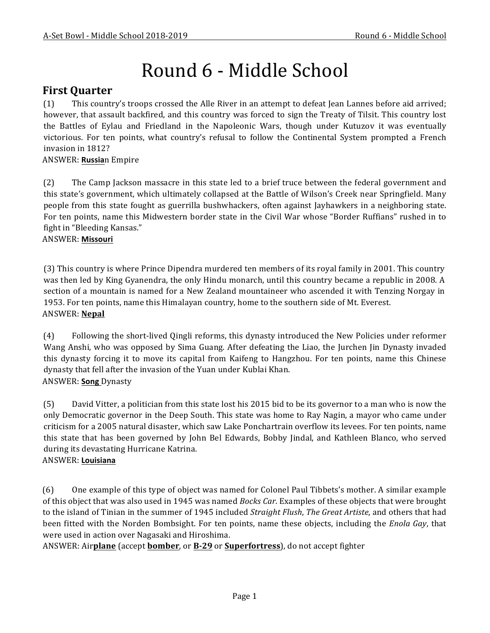# Round 6 - Middle School

### **First Quarter**

(1) This country's troops crossed the Alle River in an attempt to defeat Jean Lannes before aid arrived; however, that assault backfired, and this country was forced to sign the Treaty of Tilsit. This country lost the Battles of Eylau and Friedland in the Napoleonic Wars, though under Kutuzov it was eventually victorious. For ten points, what country's refusal to follow the Continental System prompted a French invasion in 1812?

#### ANSWER: **Russia**n Empire

(2) The Camp Jackson massacre in this state led to a brief truce between the federal government and this state's government, which ultimately collapsed at the Battle of Wilson's Creek near Springfield. Many people from this state fought as guerrilla bushwhackers, often against Jayhawkers in a neighboring state. For ten points, name this Midwestern border state in the Civil War whose "Border Ruffians" rushed in to fight in "Bleeding Kansas."

#### ANSWER: **Missouri**

(3) This country is where Prince Dipendra murdered ten members of its royal family in 2001. This country was then led by King Gyanendra, the only Hindu monarch, until this country became a republic in 2008. A section of a mountain is named for a New Zealand mountaineer who ascended it with Tenzing Norgay in 1953. For ten points, name this Himalayan country, home to the southern side of Mt. Everest. ANSWER: **Nepal**

(4) Following the short-lived Qingli reforms, this dynasty introduced the New Policies under reformer Wang Anshi, who was opposed by Sima Guang. After defeating the Liao, the Jurchen Jin Dynasty invaded this dynasty forcing it to move its capital from Kaifeng to Hangzhou. For ten points, name this Chinese dynasty that fell after the invasion of the Yuan under Kublai Khan. ANSWER: **Song** Dynasty

(5) David Vitter, a politician from this state lost his 2015 bid to be its governor to a man who is now the only Democratic governor in the Deep South. This state was home to Ray Nagin, a mayor who came under criticism for a 2005 natural disaster, which saw Lake Ponchartrain overflow its levees. For ten points, name this state that has been governed by John Bel Edwards, Bobby Jindal, and Kathleen Blanco, who served during its devastating Hurricane Katrina.

# ANSWER: **Louisiana**

(6) One example of this type of object was named for Colonel Paul Tibbets's mother. A similar example of this object that was also used in 1945 was named *Bocks Car*. Examples of these objects that were brought to the island of Tinian in the summer of 1945 included *Straight Flush*, *The Great Artiste*, and others that had been fitted with the Norden Bombsight. For ten points, name these objects, including the *Enola Gay*, that were used in action over Nagasaki and Hiroshima.

ANSWER: Airplane (accept **bomber**, or **B-29** or **Superfortress**), do not accept fighter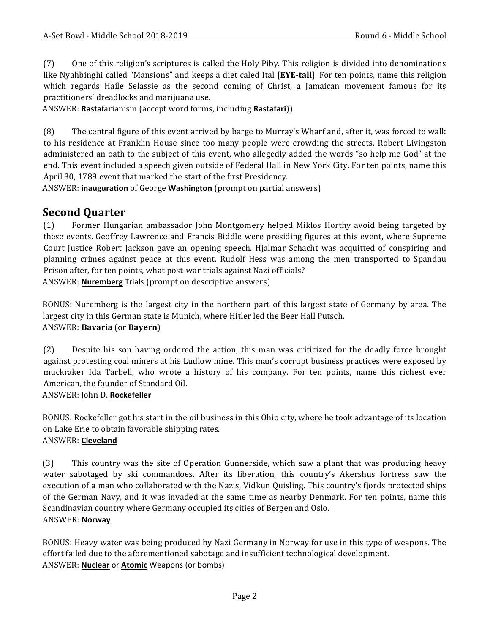(7) One of this religion's scriptures is called the Holy Piby. This religion is divided into denominations like Nyahbinghi called "Mansions" and keeps a diet caled Ital [EYE-tall]. For ten points, name this religion which regards Haile Selassie as the second coming of Christ, a Jamaican movement famous for its practitioners' dreadlocks and marijuana use.

ANSWER: Rastafarianism (accept word forms, including Rastafari))

(8) The central figure of this event arrived by barge to Murray's Wharf and, after it, was forced to walk to his residence at Franklin House since too many people were crowding the streets. Robert Livingston administered an oath to the subject of this event, who allegedly added the words "so help me God" at the end. This event included a speech given outside of Federal Hall in New York City. For ten points, name this April 30, 1789 event that marked the start of the first Presidency.

ANSWER: **inauguration** of George **Washington** (prompt on partial answers)

## **Second Quarter**

(1) Former Hungarian ambassador John Montgomery helped Miklos Horthy avoid being targeted by these events. Geoffrey Lawrence and Francis Biddle were presiding figures at this event, where Supreme Court Justice Robert Jackson gave an opening speech. Hjalmar Schacht was acquitted of conspiring and planning crimes against peace at this event. Rudolf Hess was among the men transported to Spandau Prison after, for ten points, what post-war trials against Nazi officials? ANSWER: **Nuremberg** Trials (prompt on descriptive answers)

BONUS: Nuremberg is the largest city in the northern part of this largest state of Germany by area. The largest city in this German state is Munich, where Hitler led the Beer Hall Putsch. ANSWER: **Bavaria** (or **Bayern**)

(2) Despite his son having ordered the action, this man was criticized for the deadly force brought against protesting coal miners at his Ludlow mine. This man's corrupt business practices were exposed by muckraker Ida Tarbell, who wrote a history of his company. For ten points, name this richest ever American, the founder of Standard Oil.

#### ANSWER: John D. **Rockefeller**

BONUS: Rockefeller got his start in the oil business in this Ohio city, where he took advantage of its location on Lake Erie to obtain favorable shipping rates.

#### ANSWER: **Cleveland**

(3) This country was the site of Operation Gunnerside, which saw a plant that was producing heavy water sabotaged by ski commandoes. After its liberation, this country's Akershus fortress saw the execution of a man who collaborated with the Nazis, Vidkun Quisling. This country's fjords protected ships of the German Navy, and it was invaded at the same time as nearby Denmark. For ten points, name this Scandinavian country where Germany occupied its cities of Bergen and Oslo.

#### ANSWER: **Norway**

BONUS: Heavy water was being produced by Nazi Germany in Norway for use in this type of weapons. The effort failed due to the aforementioned sabotage and insufficient technological development. ANSWER: **Nuclear** or **Atomic** Weapons (or bombs)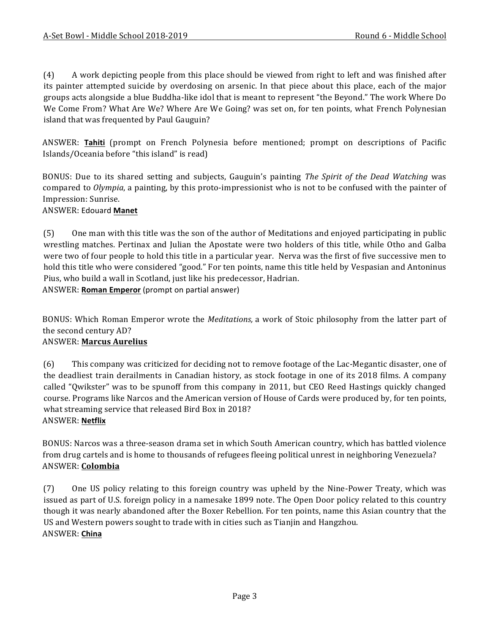(4) A work depicting people from this place should be viewed from right to left and was finished after its painter attempted suicide by overdosing on arsenic. In that piece about this place, each of the major groups acts alongside a blue Buddha-like idol that is meant to represent "the Beyond." The work Where Do We Come From? What Are We? Where Are We Going? was set on, for ten points, what French Polynesian island that was frequented by Paul Gauguin?

ANSWER: **Tahiti** (prompt on French Polynesia before mentioned; prompt on descriptions of Pacific Islands/Oceania before "this island" is read)

BONUS: Due to its shared setting and subjects, Gauguin's painting *The Spirit of the Dead Watching* was compared to *Olympia*, a painting, by this proto-impressionist who is not to be confused with the painter of Impression: Sunrise.

#### ANSWER: Edouard **Manet**

(5) One man with this title was the son of the author of Meditations and enjoyed participating in public wrestling matches. Pertinax and Julian the Apostate were two holders of this title, while Otho and Galba were two of four people to hold this title in a particular year. Nerva was the first of five successive men to hold this title who were considered "good." For ten points, name this title held by Vespasian and Antoninus Pius, who build a wall in Scotland, just like his predecessor, Hadrian. ANSWER: **Roman Emperor** (prompt on partial answer)

BONUS: Which Roman Emperor wrote the *Meditations*, a work of Stoic philosophy from the latter part of the second century AD?

#### ANSWER: **Marcus Aurelius**

(6) This company was criticized for deciding not to remove footage of the Lac-Megantic disaster, one of the deadliest train derailments in Canadian history, as stock footage in one of its 2018 films. A company called "Qwikster" was to be spunoff from this company in 2011, but CEO Reed Hastings quickly changed course. Programs like Narcos and the American version of House of Cards were produced by, for ten points, what streaming service that released Bird Box in 2018? ANSWER: **Netflix**

BONUS: Narcos was a three-season drama set in which South American country, which has battled violence from drug cartels and is home to thousands of refugees fleeing political unrest in neighboring Venezuela? ANSWER: **Colombia**

(7) One US policy relating to this foreign country was upheld by the Nine-Power Treaty, which was issued as part of U.S. foreign policy in a namesake 1899 note. The Open Door policy related to this country though it was nearly abandoned after the Boxer Rebellion. For ten points, name this Asian country that the US and Western powers sought to trade with in cities such as Tianjin and Hangzhou. ANSWER: **China**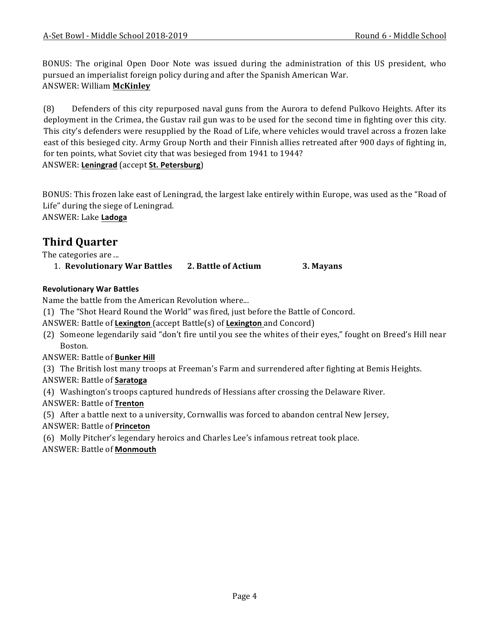BONUS: The original Open Door Note was issued during the administration of this US president, who pursued an imperialist foreign policy during and after the Spanish American War. ANSWER: William **McKinley**

(8) Defenders of this city repurposed naval guns from the Aurora to defend Pulkovo Heights. After its deployment in the Crimea, the Gustay rail gun was to be used for the second time in fighting over this city. This city's defenders were resupplied by the Road of Life, where vehicles would travel across a frozen lake east of this besieged city. Army Group North and their Finnish allies retreated after 900 days of fighting in, for ten points, what Soviet city that was besieged from 1941 to 1944? ANSWER: **Leningrad** (accept **St. Petersburg**)

BONUS: This frozen lake east of Leningrad, the largest lake entirely within Europe, was used as the "Road of Life" during the siege of Leningrad.

ANSWER: Lake **Ladoga**

## **Third Quarter**

The categories are ...

1. **Revolutionary War Battles 2. Battle of Actium 3. Mayans**

#### **Revolutionary War Battles**

Name the battle from the American Revolution where...

- (1) The "Shot Heard Round the World" was fired, just before the Battle of Concord.
- ANSWER: Battle of **Lexington** (accept Battle(s) of **Lexington** and Concord)
- (2) Someone legendarily said "don't fire until you see the whites of their eyes," fought on Breed's Hill near Boston.
- **ANSWER: Battle of Bunker Hill**

(3) The British lost many troops at Freeman's Farm and surrendered after fighting at Bemis Heights.

#### ANSWER: Battle of **Saratoga**

(4) Washington's troops captured hundreds of Hessians after crossing the Delaware River.

- ANSWER: Battle of **Trenton**
- (5) After a battle next to a university, Cornwallis was forced to abandon central New Jersey,
- ANSWER: Battle of **Princeton**
- (6) Molly Pitcher's legendary heroics and Charles Lee's infamous retreat took place.
- ANSWER: Battle of **Monmouth**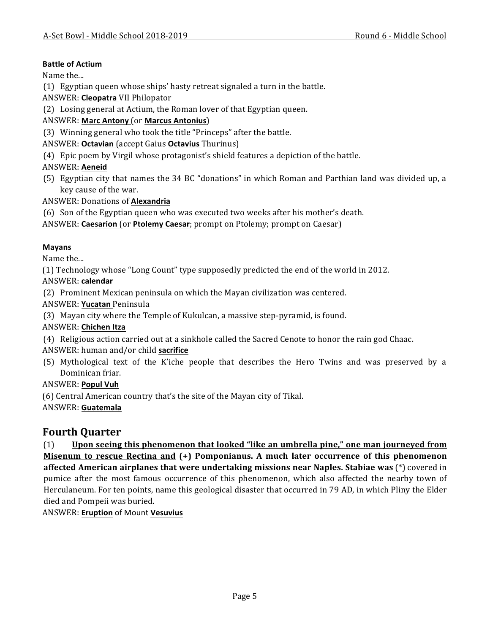#### **Battle of Actium**

Name the...

(1) Egyptian queen whose ships' hasty retreat signaled a turn in the battle.

ANSWER: **Cleopatra** VII Philopator

(2) Losing general at Actium, the Roman lover of that Egyptian queen.

#### ANSWER: **Marc Antony** (or **Marcus Antonius**)

(3) Winning general who took the title "Princeps" after the battle.

#### ANSWER: **Octavian** (accept Gaius **Octavius** Thurinus)

(4) Epic poem by Virgil whose protagonist's shield features a depiction of the battle.

#### ANSWER: **Aeneid**

(5) Egyptian city that names the 34 BC "donations" in which Roman and Parthian land was divided up, a key cause of the war.

ANSWER: Donations of **Alexandria**

(6) Son of the Egyptian queen who was executed two weeks after his mother's death.

ANSWER: **Caesarion** (or **Ptolemy Caesar**; prompt on Ptolemy; prompt on Caesar)

#### **Mayans**

Name the...

(1) Technology whose "Long Count" type supposedly predicted the end of the world in 2012.

ANSWER: **calendar**

(2) Prominent Mexican peninsula on which the Mayan civilization was centered.

ANSWER: **Yucatan** Peninsula

(3) Mayan city where the Temple of Kukulcan, a massive step-pyramid, is found.

#### ANSWER: **Chichen Itza**

(4) Religious action carried out at a sinkhole called the Sacred Cenote to honor the rain god Chaac. ANSWER: human and/or child **sacrifice** 

(5) Mythological text of the K'iche people that describes the Hero Twins and was preserved by a Dominican friar.

#### ANSWER: **Popul Vuh**

(6) Central American country that's the site of the Mayan city of Tikal.

ANSWER: **Guatemala**

## **Fourth Quarter**

(1) Upon seeing this phenomenon that looked "like an umbrella pine," one man journeyed from **Misenum to rescue Rectina and (+) Pomponianus.** A much later occurrence of this phenomenon **affected American airplanes that were undertaking missions near Naples. Stabiae was (\*) covered in** pumice after the most famous occurrence of this phenomenon, which also affected the nearby town of Herculaneum. For ten points, name this geological disaster that occurred in 79 AD, in which Pliny the Elder died and Pompeii was buried.

ANSWER: **Eruption** of Mount **Vesuvius**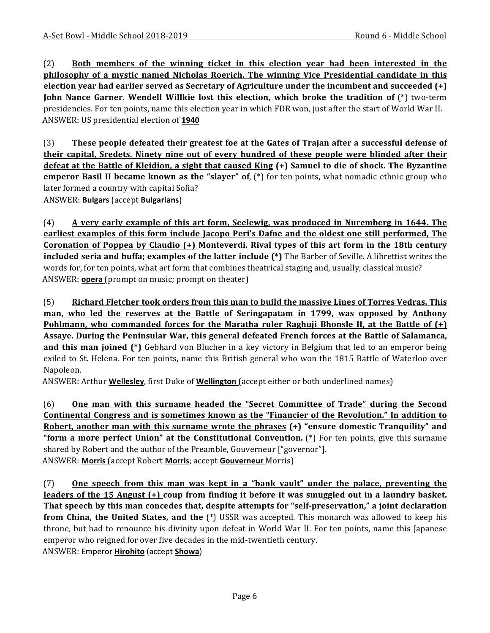(2) **Both members of the winning ticket in this election year had been interested in the philosophy of a mystic named Nicholas Roerich. The winning Vice Presidential candidate in this election year had earlier served as Secretary of Agriculture under the incumbent and succeeded (+) John Nance Garner. Wendell Willkie lost this election, which broke the tradition of (\*) two-term** presidencies. For ten points, name this election year in which FDR won, just after the start of World War II. ANSWER: US presidential election of **1940**

(3) **These people defeated their greatest foe at the Gates of Trajan after a successful defense of their capital, Sredets. Ninety nine out of every hundred of these people were blinded after their defeat at the Battle of Kleidion, a sight that caused King (+) Samuel to die of shock. The Byzantine emperor Basil II became known as the "slayer" of**, (\*) for ten points, what nomadic ethnic group who later formed a country with capital Sofia?

ANSWER: **Bulgars** (accept **Bulgarians**)

(4) **A** very early example of this art form, Seelewig, was produced in Nuremberg in 1644. The **earliest examples of this form include Jacopo Peri's Dafne and the oldest one still performed, The Coronation of Poppea by Claudio (+)** Monteverdi. Rival types of this art form in the 18th century **included seria and buffa; examples of the latter include (\*)** The Barber of Seville. A librettist writes the words for, for ten points, what art form that combines theatrical staging and, usually, classical music? ANSWER: **opera** (prompt on music; prompt on theater)

(5) Richard Fletcher took orders from this man to build the massive Lines of Torres Vedras. This **man, who led the reserves at the Battle of Seringapatam in 1799, was opposed by Anthony Pohlmann, who commanded forces for the Maratha ruler Raghuji Bhonsle II, at the Battle of**  $(+)$ Assaye. During the Peninsular War, this general defeated French forces at the Battle of Salamanca, **and this man joined (\*)** Gebhard von Blucher in a key victory in Belgium that led to an emperor being exiled to St. Helena. For ten points, name this British general who won the 1815 Battle of Waterloo over Napoleon.

ANSWER: Arthur **Wellesley**, first Duke of **Wellington** (accept either or both underlined names)

(6) One man with this surname headed the "Secret Committee of Trade" during the Second **Continental Congress and is sometimes known as the "Financier of the Revolution." In addition to Robert, another man with this surname wrote the phrases (+) "ensure domestic Tranquility" and "form a more perfect Union" at the Constitutional Convention.** (\*) For ten points, give this surname shared by Robert and the author of the Preamble, Gouverneur ["governor"]. ANSWER: Morris (accept Robert Morris; accept Gouverneur Morris)

(7) One speech from this man was kept in a "bank vault" under the palace, preventing the **leaders** of the 15 August (+) coup from finding it before it was smuggled out in a laundry basket. **That** speech by this man concedes that, despite attempts for "self-preservation," a joint declaration **from China, the United States, and the** (\*) USSR was accepted. This monarch was allowed to keep his throne, but had to renounce his divinity upon defeat in World War II. For ten points, name this Japanese emperor who reigned for over five decades in the mid-twentieth century. ANSWER: Emperor **Hirohito** (accept **Showa**)